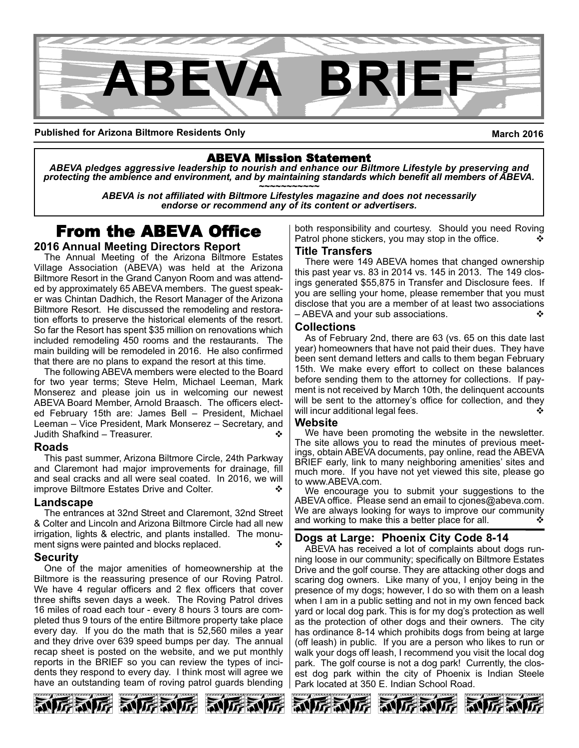

**Published for Arizona Biltmore Residents Only**

**March 2016**

## ABEVA Mission Statement

*ABEVA pledges aggressive leadership to nourish and enhance our Biltmore Lifestyle by preserving and* protecting the ambience and environment, and by maintaining standards which benefit all members of ABEVA.<br>ABEVA is not affiliated with Biltmore Lifestyles magazine and does not necessarily

*endorse or recommend any of its content or advertisers.*

## From the ABEVA Office

### **2016 Annual Meeting Directors Report**

The Annual Meeting of the Arizona Biltmore Estates Village Association (ABEVA) was held at the Arizona Biltmore Resort in the Grand Canyon Room and was attended by approximately 65 ABEVA members. The guest speaker was Chintan Dadhich, the Resort Manager of the Arizona Biltmore Resort. He discussed the remodeling and restoration efforts to preserve the historical elements of the resort. So far the Resort has spent \$35 million on renovations which included remodeling 450 rooms and the restaurants. The main building will be remodeled in 2016. He also confirmed that there are no plans to expand the resort at this time.

The following ABEVA members were elected to the Board for two year terms; Steve Helm, Michael Leeman, Mark Monserez and please join us in welcoming our newest ABEVA Board Member, Arnold Braasch. The officers elected February 15th are: James Bell – President, Michael Leeman – Vice President, Mark Monserez – Secretary, and Judith Shafkind – Treasurer.

#### **Roads**

This past summer, Arizona Biltmore Circle, 24th Parkway and Claremont had major improvements for drainage, fill and seal cracks and all were seal coated. In 2016, we will improve Biltmore Estates Drive and Colter.

#### **Landscape**

The entrances at 32nd Street and Claremont, 32nd Street & Colter and Lincoln and Arizona Biltmore Circle had all new irrigation, lights & electric, and plants installed. The monument signs were painted and blocks replaced.

#### **Security**

One of the major amenities of homeownership at the Biltmore is the reassuring presence of our Roving Patrol. We have 4 regular officers and 2 flex officers that cover three shifts seven days a week. The Roving Patrol drives 16 miles of road each tour every 8 hours 3 tours are completed thus 9 tours of the entire Biltmore property take place every day. If you do the math that is 52,560 miles a year and they drive over 639 speed bumps per day. The annual recap sheet is posted on the website, and we put monthly reports in the BRIEF so you can review the types of incidents they respond to every day. I think most will agree we have an outstanding team of roving patrol guards blending

both responsibility and courtesy. Should you need Roving Patrol phone stickers, you may stop in the office.

#### **Title Transfers**

There were 149 ABEVA homes that changed ownership this past year vs. 83 in 2014 vs. 145 in 2013. The 149 closings generated \$55,875 in Transfer and Disclosure fees. If you are selling your home, please remember that you must disclose that you are a member of at least two associations  $-$  ABEVA and your sub associations.

#### **Collections**

As of February 2nd, there are 63 (vs. 65 on this date last year) homeowners that have not paid their dues. They have been sent demand letters and calls to them began February 15th. We make every effort to collect on these balances before sending them to the attorney for collections. If payment is not received by March 10th, the delinquent accounts will be sent to the attorney's office for collection, and they will incur additional legal fees.

#### **Website**

We have been promoting the website in the newsletter. The site allows you to read the minutes of previous meetings, obtain ABEVA documents, pay online, read the ABEVA BRIEF early, link to many neighboring amenities' sites and much more. If you have not yet viewed this site, please go to www.ABEVA.com.

We encourage you to submit your suggestions to the ABEVA office. Please send an email to cjones@abeva.com. We are always looking for ways to improve our community and working to make this a better place for all.  $\mathbf{\hat{v}}$ 

### **Dogs at Large: Phoenix City Code 814**

ABEVA has received a lot of complaints about dogs running loose in our community; specifically on Biltmore Estates Drive and the golf course. They are attacking other dogs and scaring dog owners. Like many of you, I enjoy being in the presence of my dogs; however, I do so with them on a leash when I am in a public setting and not in my own fenced back yard or local dog park. This is for my dog's protection as well as the protection of other dogs and their owners. The city has ordinance 8-14 which prohibits dogs from being at large (off leash) in public. If you are a person who likes to run or walk your dogs off leash, I recommend you visit the local dog park. The golf course is not a dog park! Currently, the closest dog park within the city of Phoenix is Indian Steele Park located at 350 E. Indian School Road.







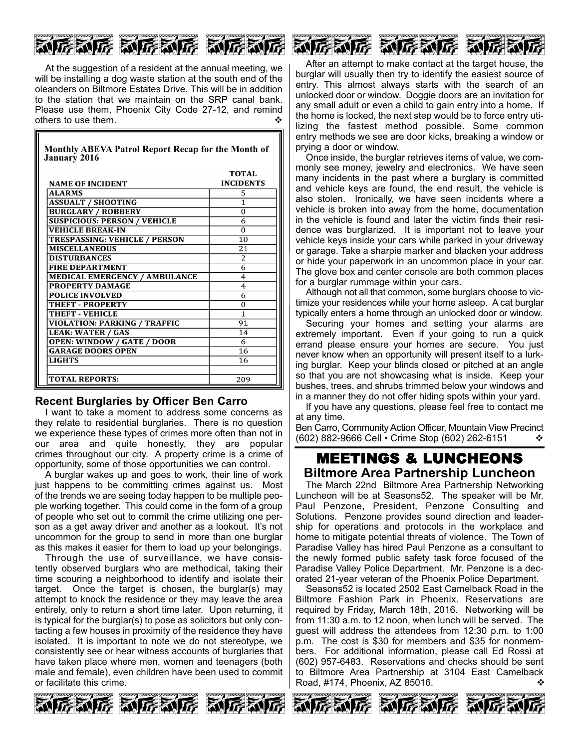# **ALLE ALLE ALLE AVEC AND**

At the suggestion of a resident at the annual meeting, we will be installing a dog waste station at the south end of the oleanders on Biltmore Estates Drive. This will be in addition to the station that we maintain on the SRP canal bank. Please use them, Phoenix City Code 27-12, and remind others to use them.

| Monthly ABEVA Patrol Report Recap for the Month of<br><b>January 2016</b> |                                  |
|---------------------------------------------------------------------------|----------------------------------|
| <b>NAME OF INCIDENT</b>                                                   | <b>TOTAL</b><br><b>INCIDENTS</b> |
| <b>ALARMS</b>                                                             | 5                                |
| <b>ASSUALT / SHOOTING</b>                                                 | $\mathbf{1}$                     |
| <b>BURGLARY / ROBBERY</b>                                                 | $\Omega$                         |
| <b>SUSPICIOUS: PERSON / VEHICLE</b>                                       | 6                                |
| <b>VEHICLE BREAK-IN</b>                                                   | $\Omega$                         |
| <b>TRESPASSING: VEHICLE / PERSON</b>                                      | 10                               |
| <b>MISCELLANEOUS</b>                                                      | 21                               |
| <b>DISTURBANCES</b>                                                       | $\overline{2}$                   |
| <b>FIRE DEPARTMENT</b>                                                    | 6                                |
| <b>MEDICAL EMERGENCY / AMBULANCE</b>                                      | $\overline{4}$                   |
| <b>PROPERTY DAMAGE</b>                                                    | $\overline{4}$                   |
| <b>POLICE INVOLVED</b>                                                    | 6                                |
| THEFT - PROPERTY                                                          | $\Omega$                         |
| <b>THEFT - VEHICLE</b>                                                    | 1                                |
| <b>VIOLATION: PARKING / TRAFFIC</b>                                       | 91                               |
| <b>LEAK: WATER / GAS</b>                                                  | 14                               |
| <b>OPEN: WINDOW / GATE / DOOR</b>                                         | 6                                |
| <b>GARAGE DOORS OPEN</b>                                                  | 16                               |
| <b>LIGHTS</b>                                                             | 16                               |
|                                                                           |                                  |
| <b>TOTAL REPORTS:</b>                                                     | 209                              |

#### **Recent Burglaries by Officer Ben Carro**

I want to take a moment to address some concerns as they relate to residential burglaries. There is no question we experience these types of crimes more often than not in our area and quite honestly, they are popular crimes throughout our city. A property crime is a crime of opportunity, some of those opportunities we can control.

A burglar wakes up and goes to work, their line of work just happens to be committing crimes against us. Most of the trends we are seeing today happen to be multiple people working together. This could come in the form of a group of people who set out to commit the crime utilizing one person as a get away driver and another as a lookout. It's not uncommon for the group to send in more than one burglar as this makes it easier for them to load up your belongings.

Through the use of surveillance, we have consistently observed burglars who are methodical, taking their time scouring a neighborhood to identify and isolate their target. Once the target is chosen, the burglar(s) may attempt to knock the residence or they may leave the area entirely, only to return a short time later. Upon returning, it is typical for the burglar(s) to pose as solicitors but only contacting a few houses in proximity of the residence they have isolated. It is important to note we do not stereotype, we consistently see or hear witness accounts of burglaries that have taken place where men, women and teenagers (both male and female), even children have been used to commit or facilitate this crime.

After an attempt to make contact at the target house, the burglar will usually then try to identify the easiest source of entry. This almost always starts with the search of an unlocked door or window. Doggie doors are an invitation for any small adult or even a child to gain entry into a home. If the home is locked, the next step would be to force entry utilizing the fastest method possible. Some common entry methods we see are door kicks, breaking a window or prying a door or window.

Once inside, the burglar retrieves items of value, we commonly see money, jewelry and electronics. We have seen many incidents in the past where a burglary is committed and vehicle keys are found, the end result, the vehicle is also stolen. Ironically, we have seen incidents where a vehicle is broken into away from the home, documentation in the vehicle is found and later the victim finds their residence was burglarized. It is important not to leave your vehicle keys inside your cars while parked in your driveway or garage. Take a sharpie marker and blacken your address or hide your paperwork in an uncommon place in your car. The glove box and center console are both common places for a burglar rummage within your cars.

Although not all that common, some burglars choose to victimize your residences while your home asleep. A cat burglar typically enters a home through an unlocked door or window.

Securing your homes and setting your alarms are extremely important. Even if your going to run a quick errand please ensure your homes are secure. You just never know when an opportunity will present itself to a lurking burglar. Keep your blinds closed or pitched at an angle so that you are not showcasing what is inside. Keep your bushes, trees, and shrubs trimmed below your windows and in a manner they do not offer hiding spots within your yard.

If you have any questions, please feel free to contact me at any time.

Ben Carro, Community Action Officer, Mountain View Precinct (602) 882-9666 Cell • Crime Stop (602) 262-6151  $\cdot$ 

## MEETINGS & LUNCHEONS **Biltmore Area Partnership Luncheon**

The March 22nd Biltmore Area Partnership Networking Luncheon will be at Seasons52. The speaker will be Mr. Paul Penzone, President, Penzone Consulting and Solutions. Penzone provides sound direction and leadership for operations and protocols in the workplace and home to mitigate potential threats of violence. The Town of Paradise Valley has hired Paul Penzone as a consultant to the newly formed public safety task force focused of the Paradise Valley Police Department. Mr. Penzone is a decorated 21-year veteran of the Phoenix Police Department.

Seasons52 is located 2502 East Camelback Road in the Biltmore Fashion Park in Phoenix. Reservations are required by Friday, March 18th, 2016. Networking will be from 11:30 a.m. to 12 noon, when lunch will be served. The guest will address the attendees from 12:30 p.m. to 1:00 p.m. The cost is \$30 for members and \$35 for nonmembers. For additional information, please call Ed Rossi at (602) 957-6483. Reservations and checks should be sent to Biltmore Area Partnership at 3104 East Camelback Road, #174, Phoenix, AZ 85016. v

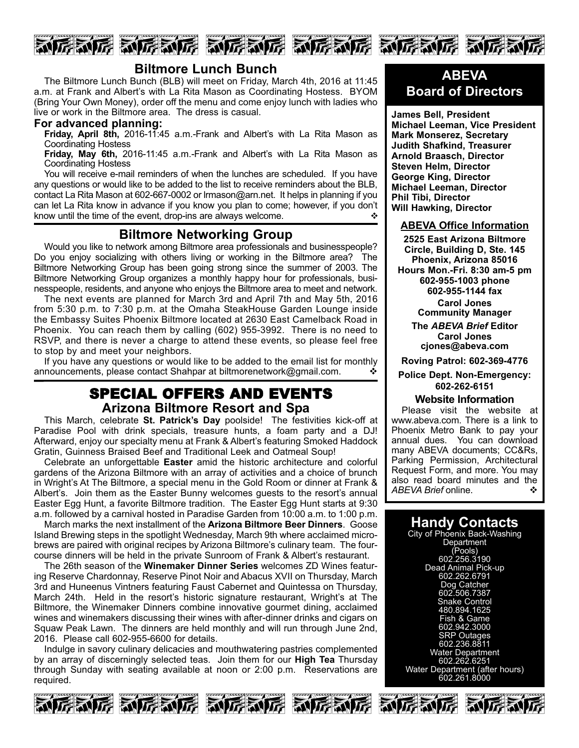



The Biltmore Lunch Bunch (BLB) will meet on Friday, March 4th, 2016 at 11:45 a.m. at Frank and Albert's with La Rita Mason as Coordinating Hostess. BYOM (Bring Your Own Money), order off the menu and come enjoy lunch with ladies who live or work in the Biltmore area. The dress is casual.

#### **For advanced planning:**

**Friday, April 8th,** 2016-11:45 a.m.-Frank and Albert's with La Rita Mason as Coordinating Hostess

**Friday, May 6th,** 2016-11:45 a.m.-Frank and Albert's with La Rita Mason as Coordinating Hostess

You will receive e-mail reminders of when the lunches are scheduled. If you have any questions or would like to be added to the list to receive reminders about the BLB, contact La Rita Mason at 602-667-0002 or Irmason@arn.net. It helps in planning if you can let La Rita know in advance if you know you plan to come; however, if you don't know until the time of the event, drop-ins are always welcome.  $\cdot$ 

#### **Biltmore Networking Group**

Would you like to network among Biltmore area professionals and businesspeople? Do you enjoy socializing with others living or working in the Biltmore area? The Biltmore Networking Group has been going strong since the summer of 2003. The Biltmore Networking Group organizes a monthly happy hour for professionals, businesspeople, residents, and anyone who enjoys the Biltmore area to meet and network.

The next events are planned for March 3rd and April 7th and May 5th, 2016 from 5:30 p.m. to 7:30 p.m. at the Omaha SteakHouse Garden Lounge inside the Embassy Suites Phoenix Biltmore located at 2630 East Camelback Road in Phoenix. You can reach them by calling (602) 955-3992. There is no need to RSVP, and there is never a charge to attend these events, so please feel free to stop by and meet your neighbors.

If you have any questions or would like to be added to the email list for monthly announcements, please contact Shahpar at biltmorenetwork@gmail.com.

## SPECIAL OFFERS AND EVENTS **Arizona Biltmore Resort and Spa**

This March, celebrate St. Patrick's Day poolside! The festivities kick-off at Paradise Pool with drink specials, treasure hunts, a foam party and a DJ! Afterward, enjoy our specialty menu at Frank & Albert's featuring Smoked Haddock Gratin, Guinness Braised Beef and Traditional Leek and Oatmeal Soup!

Celebrate an unforgettable **Easter** amid the historic architecture and colorful gardens of the Arizona Biltmore with an array of activities and a choice of brunch in Wright's At The Biltmore, a special menu in the Gold Room or dinner at Frank & Albert's. Join them as the Easter Bunny welcomes guests to the resort's annual Easter Egg Hunt, a favorite Biltmore tradition. The Easter Egg Hunt starts at 9:30 a.m. followed by a carnival hosted in Paradise Garden from 10:00 a.m. to 1:00 p.m.

March marks the next installment of the **Arizona Biltmore Beer Dinners**. Goose Island Brewing steps in the spotlight Wednesday, March 9th where acclaimed microbrews are paired with original recipes by Arizona Biltmore's culinary team. The fourcourse dinners will be held in the private Sunroom of Frank & Albert's restaurant.

The 26th season of the **Winemaker Dinner Series** welcomes ZD Wines featuring Reserve Chardonnay, Reserve Pinot Noir and Abacus XVII on Thursday, March 3rd and Huneenus Vintners featuring Faust Cabernet and Quintessa on Thursday, March 24th. Held in the resort's historic signature restaurant, Wright's at The Biltmore, the Winemaker Dinners combine innovative gourmet dining, acclaimed wines and winemakers discussing their wines with after-dinner drinks and cigars on Squaw Peak Lawn. The dinners are held monthly and will run through June 2nd, 2016. Please call 602-955-6600 for details.

Indulge in savory culinary delicacies and mouthwatering pastries complemented by an array of discerningly selected teas. Join them for our **High Tea** Thursday through Sunday with seating available at noon or 2:00 p.m. Reservations are required.



## **ABEVA Board of Directors**

**James Bell, President Michael Leeman, Vice President Mark Monserez, Secretary Judith Shafkind, Treasurer Arnold Braasch, Director Steven Helm, Director George King, Director Michael Leeman, Director Phil Tibi, Director Will Hawking, Director**

#### **ABEVA Office Information**

**2525 East Arizona Biltmore Circle, Building D, Ste. 145 Phoenix, Arizona 85016** Hours Mon.-Fri. 8:30 am-5 pm **6029551003 phone 6029551144 fax Carol Jones**

**Community Manager**

**The** *ABEVA Brief* **Editor Carol Jones cjones@abeva.com**

**Roving Patrol: 6023694776**

#### **Police Dept. Non-Emergency: 6022626151**

#### **Website Information**

Please visit the website at www.abeva.com. There is a link to Phoenix Metro Bank to pay your annual dues. You can download many ABEVA documents; CC&Rs, Parking Permission, Architectural Request Form, and more. You may also read board minutes and the ABFVA Brief online *ABEVA Brief* online. v

## **Handy Contacts**

City of Phoenix Back-Washing **Department** (Pools) 602.256.3190 Dead Animal Pick-up 602.262.6791 Dog Catcher 602.506.7387 Snake Control 480.894.1625 Fish & Game 602.942.3000 SRP Outages 602.236.8811 Water Department 602.262.6251 Water Department (after hours) 602.261.8000